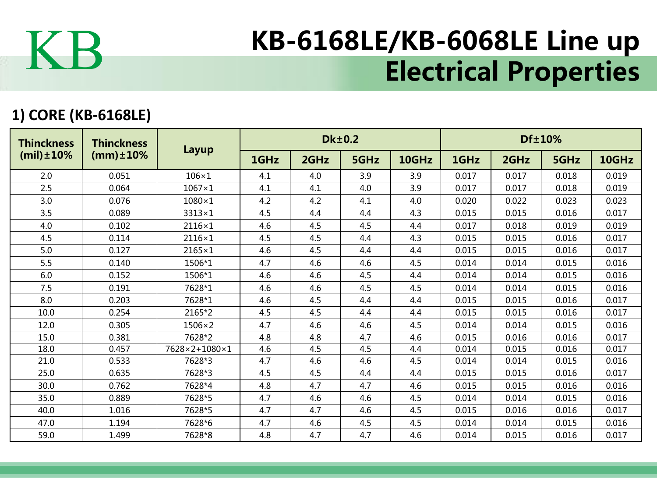

## KB-6168LE/KB-6068LE Line up Electrical Properties

## **1) CORE (KB-6168LE)**

| <b>Thinckness</b><br>$(mil) \pm 10\%$ | <b>Thinckness</b><br>$(mm) \pm 10%$ | Layup         |      |      | <b>Dk±0.2</b> |       | Df±10% |       |       |       |  |
|---------------------------------------|-------------------------------------|---------------|------|------|---------------|-------|--------|-------|-------|-------|--|
|                                       |                                     |               | 1GHz | 2GHz | 5GHz          | 10GHz | 1GHz   | 2GHz  | 5GHz  | 10GHz |  |
| 2.0                                   | 0.051                               | $106\times1$  | 4.1  | 4.0  | 3.9           | 3.9   | 0.017  | 0.017 | 0.018 | 0.019 |  |
| 2.5                                   | 0.064                               | $1067\times1$ | 4.1  | 4.1  | 4.0           | 3.9   | 0.017  | 0.017 | 0.018 | 0.019 |  |
| 3.0                                   | 0.076                               | $1080\times1$ | 4.2  | 4.2  | 4.1           | 4.0   | 0.020  | 0.022 | 0.023 | 0.023 |  |
| 3.5                                   | 0.089                               | $3313\times1$ | 4.5  | 4.4  | 4.4           | 4.3   | 0.015  | 0.015 | 0.016 | 0.017 |  |
| 4.0                                   | 0.102                               | $2116\times1$ | 4.6  | 4.5  | 4.5           | 4.4   | 0.017  | 0.018 | 0.019 | 0.019 |  |
| 4.5                                   | 0.114                               | 2116×1        | 4.5  | 4.5  | 4.4           | 4.3   | 0.015  | 0.015 | 0.016 | 0.017 |  |
| 5.0                                   | 0.127                               | $2165\times1$ | 4.6  | 4.5  | 4.4           | 4.4   | 0.015  | 0.015 | 0.016 | 0.017 |  |
| 5.5                                   | 0.140                               | 1506*1        | 4.7  | 4.6  | 4.6           | 4.5   | 0.014  | 0.014 | 0.015 | 0.016 |  |
| 6.0                                   | 0.152                               | 1506*1        | 4.6  | 4.6  | 4.5           | 4.4   | 0.014  | 0.014 | 0.015 | 0.016 |  |
| 7.5                                   | 0.191                               | 7628*1        | 4.6  | 4.6  | 4.5           | 4.5   | 0.014  | 0.014 | 0.015 | 0.016 |  |
| 8.0                                   | 0.203                               | 7628*1        | 4.6  | 4.5  | 4.4           | 4.4   | 0.015  | 0.015 | 0.016 | 0.017 |  |
| 10.0                                  | 0.254                               | 2165*2        | 4.5  | 4.5  | 4.4           | 4.4   | 0.015  | 0.015 | 0.016 | 0.017 |  |
| 12.0                                  | 0.305                               | $1506\times2$ | 4.7  | 4.6  | 4.6           | 4.5   | 0.014  | 0.014 | 0.015 | 0.016 |  |
| 15.0                                  | 0.381                               | 7628*2        | 4.8  | 4.8  | 4.7           | 4.6   | 0.015  | 0.016 | 0.016 | 0.017 |  |
| 18.0                                  | 0.457                               | 7628×2+1080×1 | 4.6  | 4.5  | 4.5           | 4.4   | 0.014  | 0.015 | 0.016 | 0.017 |  |
| 21.0                                  | 0.533                               | 7628*3        | 4.7  | 4.6  | 4.6           | 4.5   | 0.014  | 0.014 | 0.015 | 0.016 |  |
| 25.0                                  | 0.635                               | 7628*3        | 4.5  | 4.5  | 4.4           | 4.4   | 0.015  | 0.015 | 0.016 | 0.017 |  |
| 30.0                                  | 0.762                               | 7628*4        | 4.8  | 4.7  | 4.7           | 4.6   | 0.015  | 0.015 | 0.016 | 0.016 |  |
| 35.0                                  | 0.889                               | 7628*5        | 4.7  | 4.6  | 4.6           | 4.5   | 0.014  | 0.014 | 0.015 | 0.016 |  |
| 40.0                                  | 1.016                               | 7628*5        | 4.7  | 4.7  | 4.6           | 4.5   | 0.015  | 0.016 | 0.016 | 0.017 |  |
| 47.0                                  | 1.194                               | 7628*6        | 4.7  | 4.6  | 4.5           | 4.5   | 0.014  | 0.014 | 0.015 | 0.016 |  |
| 59.0                                  | 1.499                               | 7628*8        | 4.8  | 4.7  | 4.7           | 4.6   | 0.014  | 0.015 | 0.016 | 0.017 |  |